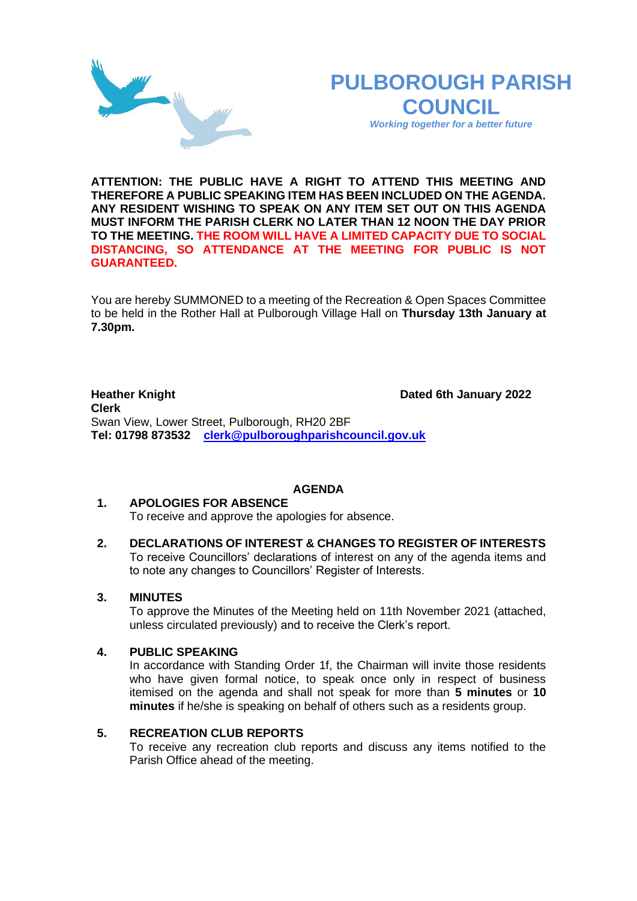# **PULBOROUGH PARISH COUNCIL**

*Working together for a better future*

**ATTENTION: THE PUBLIC HAVE A RIGHT TO ATTEND THIS MEETING AND THEREFORE A PUBLIC SPEAKING ITEM HAS BEEN INCLUDED ON THE AGENDA. ANY RESIDENT WISHING TO SPEAK ON ANY ITEM SET OUT ON THIS AGENDA MUST INFORM THE PARISH CLERK NO LATER THAN 12 NOON THE DAY PRIOR TO THE MEETING. THE ROOM WILL HAVE A LIMITED CAPACITY DUE TO SOCIAL DISTANCING, SO ATTENDANCE AT THE MEETING FOR PUBLIC IS NOT GUARANTEED.**

You are hereby SUMMONED to a meeting of the Recreation & Open Spaces Committee to be held in the Rother Hall at Pulborough Village Hall on **Thursday 13th January at 7.30pm.** 

**Heather Knight Dated 6th January 2022 Clerk**  Swan View, Lower Street, Pulborough, RH20 2BF **Tel: 01798 873532 [clerk@pulboroughparishcouncil.gov.uk](mailto:clerk@pulboroughparishcouncil.gov.uk)**

# **AGENDA**

# **1. APOLOGIES FOR ABSENCE**

To receive and approve the apologies for absence.

**2. DECLARATIONS OF INTEREST & CHANGES TO REGISTER OF INTERESTS** To receive Councillors' declarations of interest on any of the agenda items and to note any changes to Councillors' Register of Interests.

# **3. MINUTES**

To approve the Minutes of the Meeting held on 11th November 2021 (attached, unless circulated previously) and to receive the Clerk's report.

#### **4. PUBLIC SPEAKING**

In accordance with Standing Order 1f, the Chairman will invite those residents who have given formal notice, to speak once only in respect of business itemised on the agenda and shall not speak for more than **5 minutes** or **10 minutes** if he/she is speaking on behalf of others such as a residents group.

#### **5. RECREATION CLUB REPORTS**

To receive any recreation club reports and discuss any items notified to the Parish Office ahead of the meeting.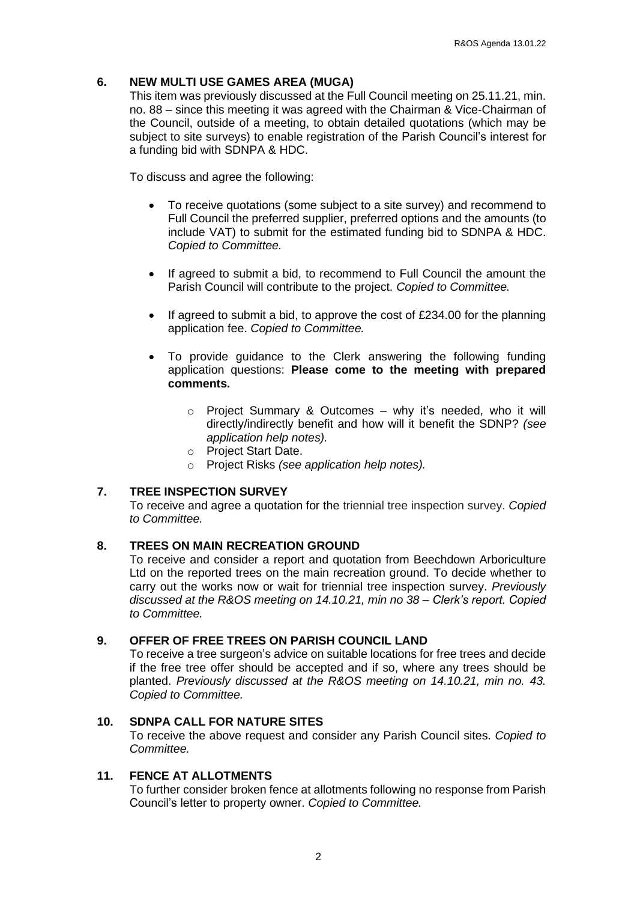## **6. NEW MULTI USE GAMES AREA (MUGA)**

This item was previously discussed at the Full Council meeting on 25.11.21, min. no. 88 – since this meeting it was agreed with the Chairman & Vice-Chairman of the Council, outside of a meeting, to obtain detailed quotations (which may be subject to site surveys) to enable registration of the Parish Council's interest for a funding bid with SDNPA & HDC.

To discuss and agree the following:

- To receive quotations (some subject to a site survey) and recommend to Full Council the preferred supplier, preferred options and the amounts (to include VAT) to submit for the estimated funding bid to SDNPA & HDC. *Copied to Committee.*
- If agreed to submit a bid, to recommend to Full Council the amount the Parish Council will contribute to the project. *Copied to Committee.*
- If agreed to submit a bid, to approve the cost of £234.00 for the planning application fee. *Copied to Committee.*
- To provide guidance to the Clerk answering the following funding application questions: **Please come to the meeting with prepared comments.**
	- $\circ$  Project Summary & Outcomes why it's needed, who it will directly/indirectly benefit and how will it benefit the SDNP? *(see application help notes).*
	- o Project Start Date.
	- o Project Risks *(see application help notes).*

#### **7. TREE INSPECTION SURVEY**

To receive and agree a quotation for the triennial tree inspection survey. *Copied to Committee.* 

#### **8. TREES ON MAIN RECREATION GROUND**

To receive and consider a report and quotation from Beechdown Arboriculture Ltd on the reported trees on the main recreation ground. To decide whether to carry out the works now or wait for triennial tree inspection survey. *Previously discussed at the R&OS meeting on 14.10.21, min no 38 – Clerk's report. Copied to Committee.*

#### **9. OFFER OF FREE TREES ON PARISH COUNCIL LAND**

To receive a tree surgeon's advice on suitable locations for free trees and decide if the free tree offer should be accepted and if so, where any trees should be planted. *Previously discussed at the R&OS meeting on 14.10.21, min no. 43. Copied to Committee.*

#### **10. SDNPA CALL FOR NATURE SITES**

To receive the above request and consider any Parish Council sites. *Copied to Committee.*

#### **11. FENCE AT ALLOTMENTS**

To further consider broken fence at allotments following no response from Parish Council's letter to property owner. *Copied to Committee.*